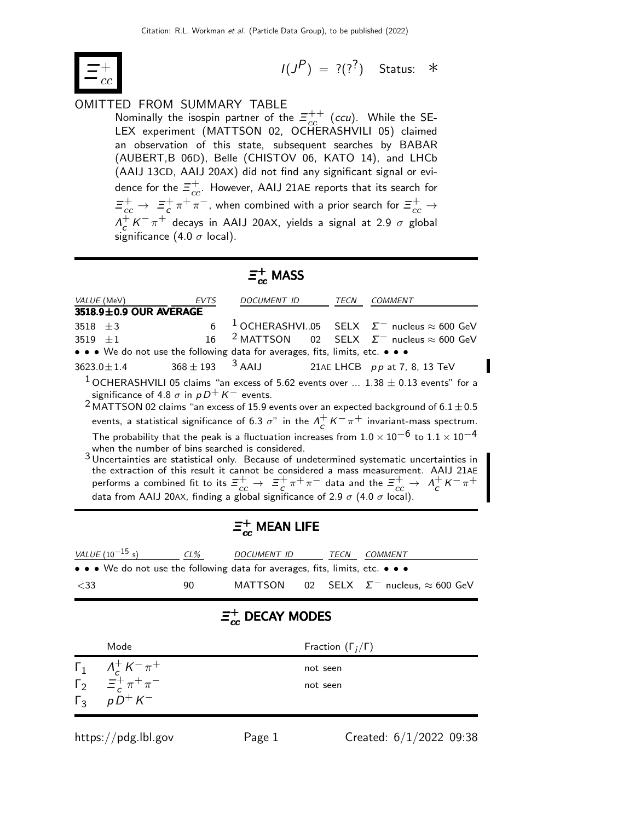

$$
I(J^P) = ?(?^?)
$$
 Status:  $*$ 

### OMITTED FROM SUMMARY TABLE

Nominally the isospin partner of the  $\Xi_{cc}^{++}$  (ccu). While the SE-LEX experiment (MATTSON 02, OCHERASHVILI 05) claimed an observation of this state, subsequent searches by BABAR (AUBERT,B 06D), Belle (CHISTOV 06, KATO 14), and LHCb (AAIJ 13CD, AAIJ 20AX) did not find any significant signal or evidence for the  $\bar{\varXi}_{cc}^{+}.$  However, AAIJ 21AE reports that its search for  $\bar{\Xi}_{cc}^{+}\rightarrow\Xi_{c}^{+}$  $\frac{1}{c} \pi^+ \pi^-$ , when combined with a prior search for  $\Xi_{cc}^+ \to$  $\Lambda^+$  $\frac{1}{c}K^{-}\pi^{+}$  decays in AAIJ 20AX, yields a signal at 2.9  $\sigma$  global significance (4.0  $\sigma$  local).

## $\bar{\bm{\Xi}}^+_{cc}$  MASS

| VALUE (MeV) EVTS                                                              |    | <i>DOCUMENT ID</i>                                   | TECN | COMMENT                                                                                                                                                                                                                                                      |
|-------------------------------------------------------------------------------|----|------------------------------------------------------|------|--------------------------------------------------------------------------------------------------------------------------------------------------------------------------------------------------------------------------------------------------------------|
| 3518.9±0.9 OUR AVERAGE                                                        |    |                                                      |      |                                                                                                                                                                                                                                                              |
| 3518 $\pm 3$                                                                  | 6  |                                                      |      | <sup>1</sup> OCHERASHVI05 SELX $\Sigma^-$ nucleus $\approx 600$ GeV                                                                                                                                                                                          |
| 3519 $\pm 1$                                                                  | 16 |                                                      |      | <sup>2</sup> MATTSON 02 SELX $\Sigma^-$ nucleus $\approx 600$ GeV                                                                                                                                                                                            |
| • • • We do not use the following data for averages, fits, limits, etc. • • • |    |                                                      |      |                                                                                                                                                                                                                                                              |
| $3623.0 \pm 1.4$                                                              |    | $368 \pm 193$ $^3$ AAIJ 21AE LHCB pp at 7, 8, 13 TeV |      |                                                                                                                                                                                                                                                              |
| significance of 4.8 $\sigma$ in $pD^+K^-$ events.                             |    |                                                      |      | $^1$ OCHERASHVILI 05 claims "an excess of 5.62 events over $1.38 \pm 0.13$ events" for a                                                                                                                                                                     |
|                                                                               |    |                                                      |      | <sup>2</sup> MATTSON 02 claims "an excess of 15.9 events over an expected background of 6.1 $\pm$ 0.5                                                                                                                                                        |
|                                                                               |    |                                                      |      | events, a statistical significance of 6.3 $\sigma$ " in the $\Lambda_c^+ K^- \pi^+$ invariant-mass spectrum.                                                                                                                                                 |
|                                                                               |    |                                                      |      | The probability that the peak is a fluctuation increases from $1.0 \times 10^{-6}$ to $1.1 \times 10^{-4}$<br>when the number of bins searched is considered.<br>$3$ Uncertainties are statistical only. Because of undetermined systematic uncertainties in |
|                                                                               |    |                                                      |      | the extraction of this result it cannot be considered a mass measurement. AAIJ 21AE<br>performs a combined fit to its $\equiv_{cc}^+$ $\rightarrow$ $\equiv_{c}^+$ $\pi^+$ $\pi^-$ data and the $\equiv_{cc}^+$ $\rightarrow$ $\Lambda_c^+$ $K^ \pi^+$       |
|                                                                               |    |                                                      |      |                                                                                                                                                                                                                                                              |

# $\bar{\bm{\Xi}}^+_{cc}$  MEAN LIFE

data from AAIJ 20AX, finding a global significance of 2.9  $\sigma$  (4.0  $\sigma$  local).

| <i>VALUE</i> (10 <sup>-15</sup> s)                                            | $CL\%$ | DOCUMENT ID | TECN | COMMENT                                               |
|-------------------------------------------------------------------------------|--------|-------------|------|-------------------------------------------------------|
| • • • We do not use the following data for averages, fits, limits, etc. • • • |        |             |      |                                                       |
| $<$ 33                                                                        | 90.    |             |      | MATTSON 02 SELX $\Sigma^-$ nucleus, $\approx 600$ GeV |

### =+<br>= <sub>ec</sub>  $_{cc}^+$  Decay modes

| Mode                                                                | Fraction $(\Gamma_i/\Gamma)$ |
|---------------------------------------------------------------------|------------------------------|
| $\Gamma_1$ $A_c^+ K^- \pi^+$                                        | not seen                     |
| $\Gamma_2 = \frac{c}{c} + \pi + \pi -$<br>$\Gamma_3 = \rho D^+ K^-$ | not seen                     |
|                                                                     |                              |